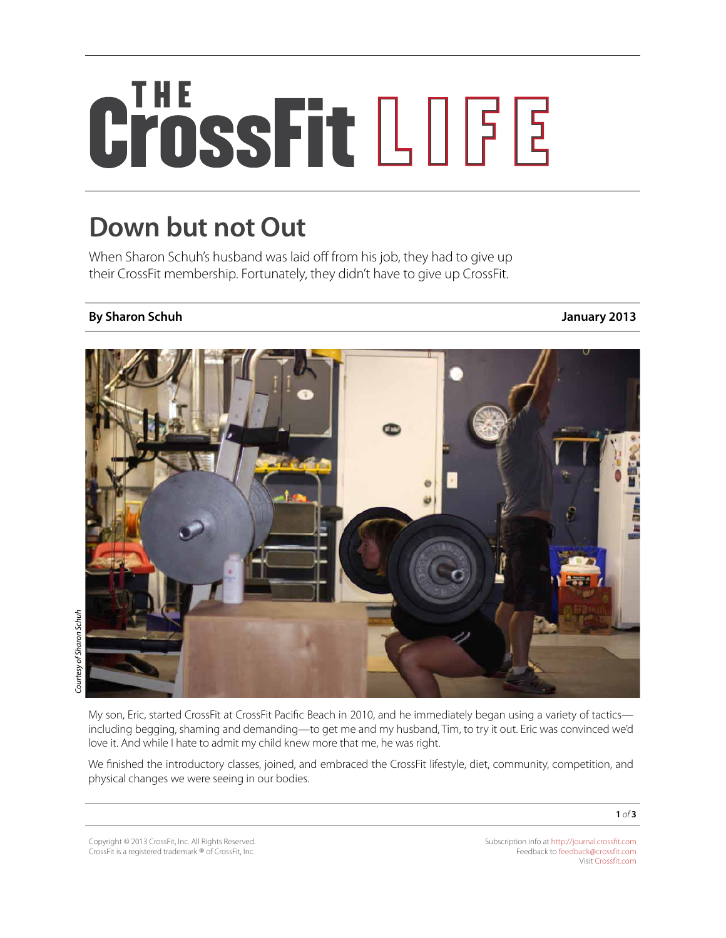## CrossFit LOGE

## **Down but not Out**

When Sharon Schuh's husband was laid off from his job, they had to give up their CrossFit membership. Fortunately, they didn't have to give up CrossFit.

## **By Sharon Schuh January 2013**



My son, Eric, started CrossFit at CrossFit Pacific Beach in 2010, and he immediately began using a variety of tactics including begging, shaming and demanding—to get me and my husband, Tim, to try it out. Eric was convinced we'd love it. And while I hate to admit my child knew more that me, he was right.

We finished the introductory classes, joined, and embraced the CrossFit lifestyle, diet, community, competition, and physical changes we were seeing in our bodies.

**1** *of* **3**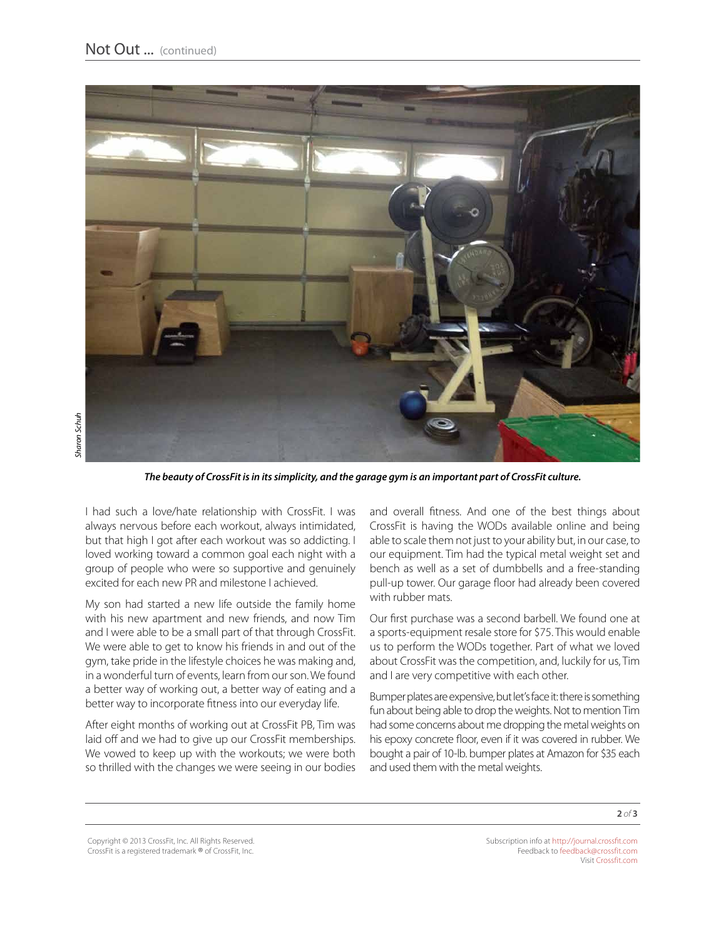

*The beauty of CrossFit is in its simplicity, and the garage gym is an important part of CrossFit culture.*

I had such a love/hate relationship with CrossFit. I was always nervous before each workout, always intimidated, but that high I got after each workout was so addicting. I loved working toward a common goal each night with a group of people who were so supportive and genuinely excited for each new PR and milestone I achieved.

My son had started a new life outside the family home with his new apartment and new friends, and now Tim and I were able to be a small part of that through CrossFit. We were able to get to know his friends in and out of the gym, take pride in the lifestyle choices he was making and, in a wonderful turn of events, learn from our son. We found a better way of working out, a better way of eating and a better way to incorporate fitness into our everyday life.

After eight months of working out at CrossFit PB, Tim was laid off and we had to give up our CrossFit memberships. We vowed to keep up with the workouts; we were both so thrilled with the changes we were seeing in our bodies and overall fitness. And one of the best things about CrossFit is having the WODs available online and being able to scale them not just to your ability but, in our case, to our equipment. Tim had the typical metal weight set and bench as well as a set of dumbbells and a free-standing pull-up tower. Our garage floor had already been covered with rubber mats.

Our first purchase was a second barbell. We found one at a sports-equipment resale store for \$75. This would enable us to perform the WODs together. Part of what we loved about CrossFit was the competition, and, luckily for us, Tim and I are very competitive with each other.

Bumper plates are expensive, but let's face it: there is something fun about being able to drop the weights. Not to mention Tim had some concerns about me dropping the metal weights on his epoxy concrete floor, even if it was covered in rubber. We bought a pair of 10-lb. bumper plates at Amazon for \$35 each and used them with the metal weights.

Copyright © 2013 CrossFit, Inc. All Rights Reserved. CrossFit is a registered trademark ® of CrossFit, Inc.

Subscription info at <http://journal.crossfit.com> Feedback to [feedback@crossfit.com](mailto:feedback@crossfit.com) Visit [Crossfit.com](http://crossfit.com/)